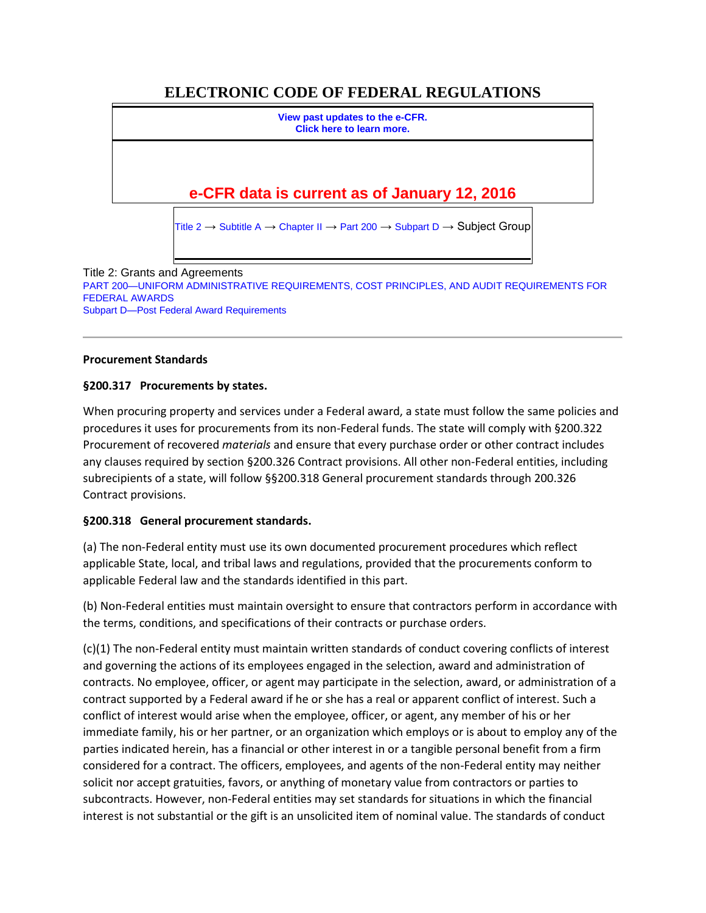# **ELECTRONIC CODE OF FEDERAL REGULATIONS**

**[View past updates to the e-CFR.](http://www.ecfr.gov/cgi-bin/ECFR?SID=98617aac17e01b45b3ac9e14006bbc0d&mc=true&page=faq#quest1) [Click here to learn more.](http://www.ecfr.gov/cgi-bin/ECFR?SID=98617aac17e01b45b3ac9e14006bbc0d&mc=true&page=faq#quest1) e-CFR data is current as of January 12, 2016**

[Title 2](http://www.ecfr.gov/cgi-bin/text-idx?gp=&SID=98617aac17e01b45b3ac9e14006bbc0d&mc=true&tpl=/ecfrbrowse/Title02/2tab_02.tpl)  $\rightarrow$  [Subtitle A](http://www.ecfr.gov/cgi-bin/text-idx?gp=&SID=98617aac17e01b45b3ac9e14006bbc0d&mc=true&tpl=/ecfrbrowse/Title02/2subtitleA.tpl)  $\rightarrow$  [Chapter II](http://www.ecfr.gov/cgi-bin/text-idx?gp=&SID=98617aac17e01b45b3ac9e14006bbc0d&mc=true&tpl=/ecfrbrowse/Title02/2chapterII.tpl)  $\rightarrow$  [Part 200](http://www.ecfr.gov/cgi-bin/retrieveECFR?gp=&SID=98617aac17e01b45b3ac9e14006bbc0d&mc=true&n=pt2.1.200&r=PART&ty=HTML)  $\rightarrow$  [Subpart D](http://www.ecfr.gov/cgi-bin/retrieveECFR?gp=&SID=98617aac17e01b45b3ac9e14006bbc0d&mc=true&n=sp2.1.200.d&r=SUBPART&ty=HTML)  $\rightarrow$  Subject Group

Title 2: Grants and Agreements [PART 200—UNIFORM ADMINISTRATIVE REQUIREMENTS, COST PRINCIPLES, AND AUDIT REQUIREMENTS FOR](http://www.ecfr.gov/cgi-bin/retrieveECFR?gp=&SID=98617aac17e01b45b3ac9e14006bbc0d&mc=true&n=pt2.1.200&r=PART&ty=HTML)  [FEDERAL AWARDS](http://www.ecfr.gov/cgi-bin/retrieveECFR?gp=&SID=98617aac17e01b45b3ac9e14006bbc0d&mc=true&n=pt2.1.200&r=PART&ty=HTML) [Subpart D—Post Federal Award Requirements](http://www.ecfr.gov/cgi-bin/retrieveECFR?gp=&SID=98617aac17e01b45b3ac9e14006bbc0d&mc=true&n=sp2.1.200.d&r=SUBPART&ty=HTML)

#### **Procurement Standards**

#### **§200.317 Procurements by states.**

When procuring property and services under a Federal award, a state must follow the same policies and procedures it uses for procurements from its non-Federal funds. The state will comply with §200.322 Procurement of recovered *materials* and ensure that every purchase order or other contract includes any clauses required by section §200.326 Contract provisions. All other non-Federal entities, including subrecipients of a state, will follow §§200.318 General procurement standards through 200.326 Contract provisions.

#### **§200.318 General procurement standards.**

(a) The non-Federal entity must use its own documented procurement procedures which reflect applicable State, local, and tribal laws and regulations, provided that the procurements conform to applicable Federal law and the standards identified in this part.

(b) Non-Federal entities must maintain oversight to ensure that contractors perform in accordance with the terms, conditions, and specifications of their contracts or purchase orders.

(c)(1) The non-Federal entity must maintain written standards of conduct covering conflicts of interest and governing the actions of its employees engaged in the selection, award and administration of contracts. No employee, officer, or agent may participate in the selection, award, or administration of a contract supported by a Federal award if he or she has a real or apparent conflict of interest. Such a conflict of interest would arise when the employee, officer, or agent, any member of his or her immediate family, his or her partner, or an organization which employs or is about to employ any of the parties indicated herein, has a financial or other interest in or a tangible personal benefit from a firm considered for a contract. The officers, employees, and agents of the non-Federal entity may neither solicit nor accept gratuities, favors, or anything of monetary value from contractors or parties to subcontracts. However, non-Federal entities may set standards for situations in which the financial interest is not substantial or the gift is an unsolicited item of nominal value. The standards of conduct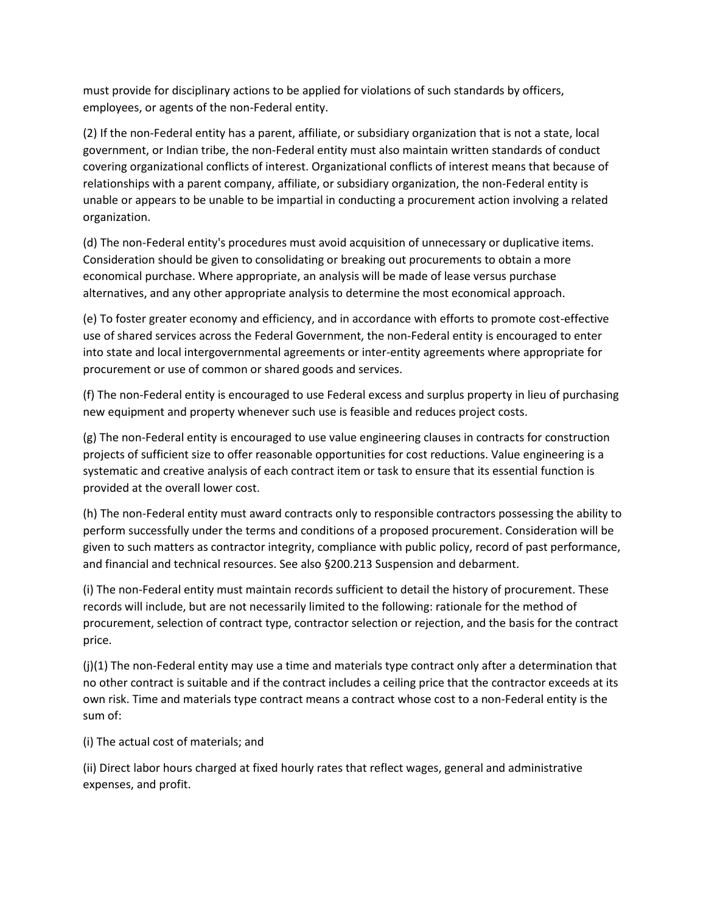must provide for disciplinary actions to be applied for violations of such standards by officers, employees, or agents of the non-Federal entity.

(2) If the non-Federal entity has a parent, affiliate, or subsidiary organization that is not a state, local government, or Indian tribe, the non-Federal entity must also maintain written standards of conduct covering organizational conflicts of interest. Organizational conflicts of interest means that because of relationships with a parent company, affiliate, or subsidiary organization, the non-Federal entity is unable or appears to be unable to be impartial in conducting a procurement action involving a related organization.

(d) The non-Federal entity's procedures must avoid acquisition of unnecessary or duplicative items. Consideration should be given to consolidating or breaking out procurements to obtain a more economical purchase. Where appropriate, an analysis will be made of lease versus purchase alternatives, and any other appropriate analysis to determine the most economical approach.

(e) To foster greater economy and efficiency, and in accordance with efforts to promote cost-effective use of shared services across the Federal Government, the non-Federal entity is encouraged to enter into state and local intergovernmental agreements or inter-entity agreements where appropriate for procurement or use of common or shared goods and services.

(f) The non-Federal entity is encouraged to use Federal excess and surplus property in lieu of purchasing new equipment and property whenever such use is feasible and reduces project costs.

(g) The non-Federal entity is encouraged to use value engineering clauses in contracts for construction projects of sufficient size to offer reasonable opportunities for cost reductions. Value engineering is a systematic and creative analysis of each contract item or task to ensure that its essential function is provided at the overall lower cost.

(h) The non-Federal entity must award contracts only to responsible contractors possessing the ability to perform successfully under the terms and conditions of a proposed procurement. Consideration will be given to such matters as contractor integrity, compliance with public policy, record of past performance, and financial and technical resources. See also §200.213 Suspension and debarment.

(i) The non-Federal entity must maintain records sufficient to detail the history of procurement. These records will include, but are not necessarily limited to the following: rationale for the method of procurement, selection of contract type, contractor selection or rejection, and the basis for the contract price.

 $(j)(1)$  The non-Federal entity may use a time and materials type contract only after a determination that no other contract is suitable and if the contract includes a ceiling price that the contractor exceeds at its own risk. Time and materials type contract means a contract whose cost to a non-Federal entity is the sum of:

(i) The actual cost of materials; and

(ii) Direct labor hours charged at fixed hourly rates that reflect wages, general and administrative expenses, and profit.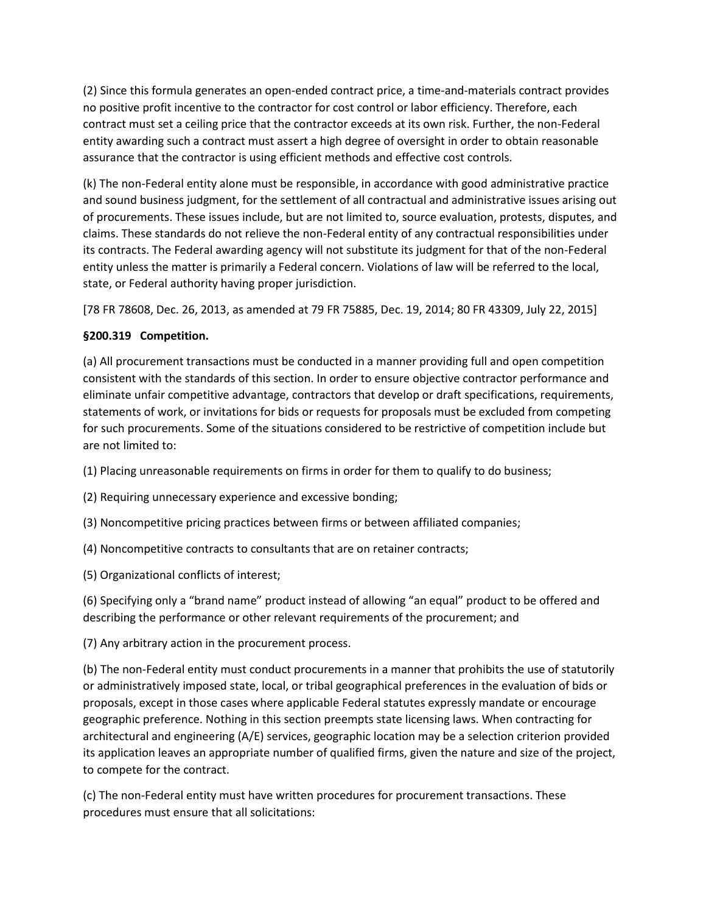(2) Since this formula generates an open-ended contract price, a time-and-materials contract provides no positive profit incentive to the contractor for cost control or labor efficiency. Therefore, each contract must set a ceiling price that the contractor exceeds at its own risk. Further, the non-Federal entity awarding such a contract must assert a high degree of oversight in order to obtain reasonable assurance that the contractor is using efficient methods and effective cost controls.

(k) The non-Federal entity alone must be responsible, in accordance with good administrative practice and sound business judgment, for the settlement of all contractual and administrative issues arising out of procurements. These issues include, but are not limited to, source evaluation, protests, disputes, and claims. These standards do not relieve the non-Federal entity of any contractual responsibilities under its contracts. The Federal awarding agency will not substitute its judgment for that of the non-Federal entity unless the matter is primarily a Federal concern. Violations of law will be referred to the local, state, or Federal authority having proper jurisdiction.

[78 FR 78608, Dec. 26, 2013, as amended at 79 FR 75885, Dec. 19, 2014; 80 FR 43309, July 22, 2015]

# **§200.319 Competition.**

(a) All procurement transactions must be conducted in a manner providing full and open competition consistent with the standards of this section. In order to ensure objective contractor performance and eliminate unfair competitive advantage, contractors that develop or draft specifications, requirements, statements of work, or invitations for bids or requests for proposals must be excluded from competing for such procurements. Some of the situations considered to be restrictive of competition include but are not limited to:

(1) Placing unreasonable requirements on firms in order for them to qualify to do business;

(2) Requiring unnecessary experience and excessive bonding;

(3) Noncompetitive pricing practices between firms or between affiliated companies;

(4) Noncompetitive contracts to consultants that are on retainer contracts;

(5) Organizational conflicts of interest;

(6) Specifying only a "brand name" product instead of allowing "an equal" product to be offered and describing the performance or other relevant requirements of the procurement; and

(7) Any arbitrary action in the procurement process.

(b) The non-Federal entity must conduct procurements in a manner that prohibits the use of statutorily or administratively imposed state, local, or tribal geographical preferences in the evaluation of bids or proposals, except in those cases where applicable Federal statutes expressly mandate or encourage geographic preference. Nothing in this section preempts state licensing laws. When contracting for architectural and engineering (A/E) services, geographic location may be a selection criterion provided its application leaves an appropriate number of qualified firms, given the nature and size of the project, to compete for the contract.

(c) The non-Federal entity must have written procedures for procurement transactions. These procedures must ensure that all solicitations: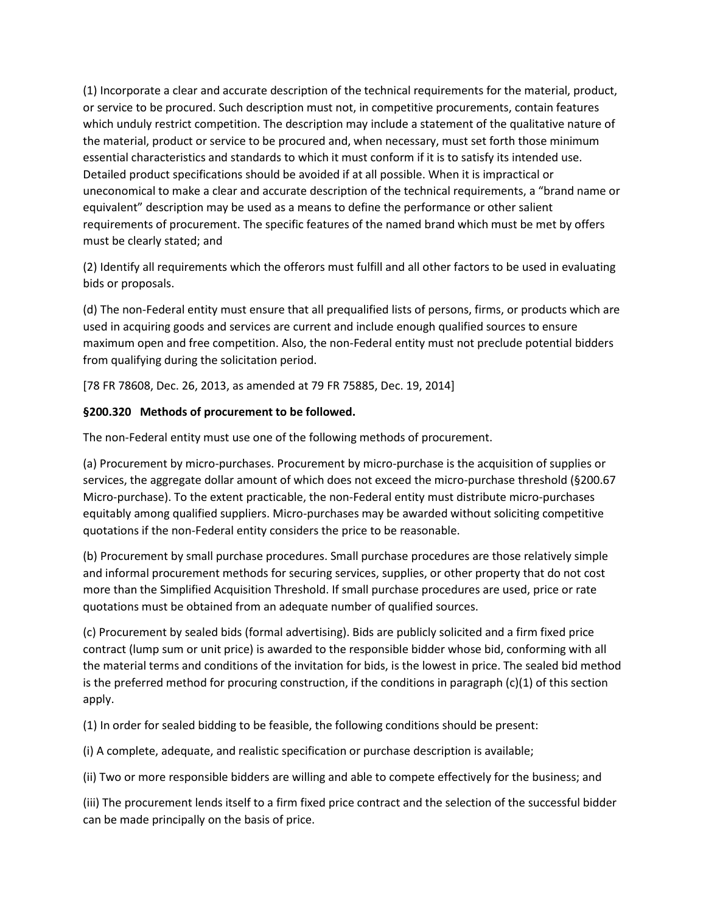(1) Incorporate a clear and accurate description of the technical requirements for the material, product, or service to be procured. Such description must not, in competitive procurements, contain features which unduly restrict competition. The description may include a statement of the qualitative nature of the material, product or service to be procured and, when necessary, must set forth those minimum essential characteristics and standards to which it must conform if it is to satisfy its intended use. Detailed product specifications should be avoided if at all possible. When it is impractical or uneconomical to make a clear and accurate description of the technical requirements, a "brand name or equivalent" description may be used as a means to define the performance or other salient requirements of procurement. The specific features of the named brand which must be met by offers must be clearly stated; and

(2) Identify all requirements which the offerors must fulfill and all other factors to be used in evaluating bids or proposals.

(d) The non-Federal entity must ensure that all prequalified lists of persons, firms, or products which are used in acquiring goods and services are current and include enough qualified sources to ensure maximum open and free competition. Also, the non-Federal entity must not preclude potential bidders from qualifying during the solicitation period.

[78 FR 78608, Dec. 26, 2013, as amended at 79 FR 75885, Dec. 19, 2014]

# **§200.320 Methods of procurement to be followed.**

The non-Federal entity must use one of the following methods of procurement.

(a) Procurement by micro-purchases. Procurement by micro-purchase is the acquisition of supplies or services, the aggregate dollar amount of which does not exceed the micro-purchase threshold (§200.67 Micro-purchase). To the extent practicable, the non-Federal entity must distribute micro-purchases equitably among qualified suppliers. Micro-purchases may be awarded without soliciting competitive quotations if the non-Federal entity considers the price to be reasonable.

(b) Procurement by small purchase procedures. Small purchase procedures are those relatively simple and informal procurement methods for securing services, supplies, or other property that do not cost more than the Simplified Acquisition Threshold. If small purchase procedures are used, price or rate quotations must be obtained from an adequate number of qualified sources.

(c) Procurement by sealed bids (formal advertising). Bids are publicly solicited and a firm fixed price contract (lump sum or unit price) is awarded to the responsible bidder whose bid, conforming with all the material terms and conditions of the invitation for bids, is the lowest in price. The sealed bid method is the preferred method for procuring construction, if the conditions in paragraph (c)(1) of this section apply.

(1) In order for sealed bidding to be feasible, the following conditions should be present:

(i) A complete, adequate, and realistic specification or purchase description is available;

(ii) Two or more responsible bidders are willing and able to compete effectively for the business; and

(iii) The procurement lends itself to a firm fixed price contract and the selection of the successful bidder can be made principally on the basis of price.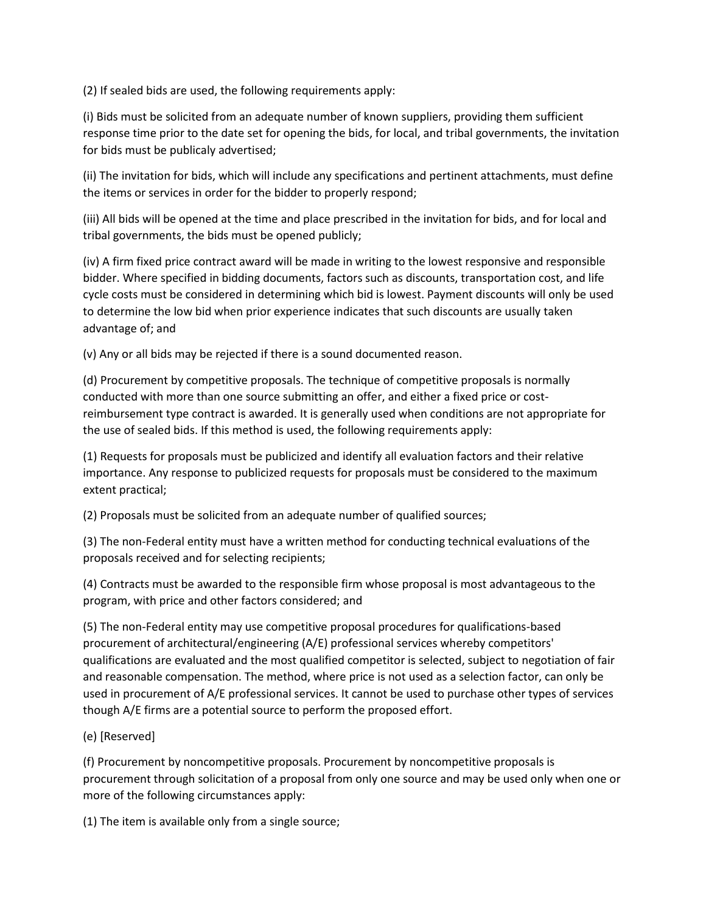(2) If sealed bids are used, the following requirements apply:

(i) Bids must be solicited from an adequate number of known suppliers, providing them sufficient response time prior to the date set for opening the bids, for local, and tribal governments, the invitation for bids must be publicaly advertised;

(ii) The invitation for bids, which will include any specifications and pertinent attachments, must define the items or services in order for the bidder to properly respond;

(iii) All bids will be opened at the time and place prescribed in the invitation for bids, and for local and tribal governments, the bids must be opened publicly;

(iv) A firm fixed price contract award will be made in writing to the lowest responsive and responsible bidder. Where specified in bidding documents, factors such as discounts, transportation cost, and life cycle costs must be considered in determining which bid is lowest. Payment discounts will only be used to determine the low bid when prior experience indicates that such discounts are usually taken advantage of; and

(v) Any or all bids may be rejected if there is a sound documented reason.

(d) Procurement by competitive proposals. The technique of competitive proposals is normally conducted with more than one source submitting an offer, and either a fixed price or costreimbursement type contract is awarded. It is generally used when conditions are not appropriate for the use of sealed bids. If this method is used, the following requirements apply:

(1) Requests for proposals must be publicized and identify all evaluation factors and their relative importance. Any response to publicized requests for proposals must be considered to the maximum extent practical;

(2) Proposals must be solicited from an adequate number of qualified sources;

(3) The non-Federal entity must have a written method for conducting technical evaluations of the proposals received and for selecting recipients;

(4) Contracts must be awarded to the responsible firm whose proposal is most advantageous to the program, with price and other factors considered; and

(5) The non-Federal entity may use competitive proposal procedures for qualifications-based procurement of architectural/engineering (A/E) professional services whereby competitors' qualifications are evaluated and the most qualified competitor is selected, subject to negotiation of fair and reasonable compensation. The method, where price is not used as a selection factor, can only be used in procurement of A/E professional services. It cannot be used to purchase other types of services though A/E firms are a potential source to perform the proposed effort.

# (e) [Reserved]

(f) Procurement by noncompetitive proposals. Procurement by noncompetitive proposals is procurement through solicitation of a proposal from only one source and may be used only when one or more of the following circumstances apply:

(1) The item is available only from a single source;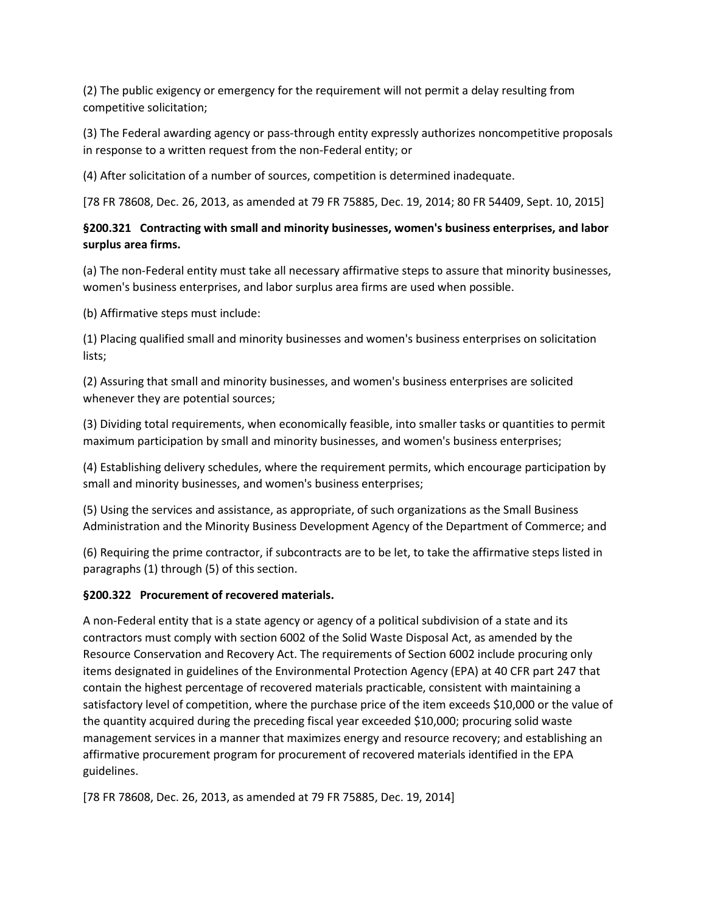(2) The public exigency or emergency for the requirement will not permit a delay resulting from competitive solicitation;

(3) The Federal awarding agency or pass-through entity expressly authorizes noncompetitive proposals in response to a written request from the non-Federal entity; or

(4) After solicitation of a number of sources, competition is determined inadequate.

[78 FR 78608, Dec. 26, 2013, as amended at 79 FR 75885, Dec. 19, 2014; 80 FR 54409, Sept. 10, 2015]

# **§200.321 Contracting with small and minority businesses, women's business enterprises, and labor surplus area firms.**

(a) The non-Federal entity must take all necessary affirmative steps to assure that minority businesses, women's business enterprises, and labor surplus area firms are used when possible.

(b) Affirmative steps must include:

(1) Placing qualified small and minority businesses and women's business enterprises on solicitation lists;

(2) Assuring that small and minority businesses, and women's business enterprises are solicited whenever they are potential sources;

(3) Dividing total requirements, when economically feasible, into smaller tasks or quantities to permit maximum participation by small and minority businesses, and women's business enterprises;

(4) Establishing delivery schedules, where the requirement permits, which encourage participation by small and minority businesses, and women's business enterprises;

(5) Using the services and assistance, as appropriate, of such organizations as the Small Business Administration and the Minority Business Development Agency of the Department of Commerce; and

(6) Requiring the prime contractor, if subcontracts are to be let, to take the affirmative steps listed in paragraphs (1) through (5) of this section.

#### **§200.322 Procurement of recovered materials.**

A non-Federal entity that is a state agency or agency of a political subdivision of a state and its contractors must comply with section 6002 of the Solid Waste Disposal Act, as amended by the Resource Conservation and Recovery Act. The requirements of Section 6002 include procuring only items designated in guidelines of the Environmental Protection Agency (EPA) at 40 CFR part 247 that contain the highest percentage of recovered materials practicable, consistent with maintaining a satisfactory level of competition, where the purchase price of the item exceeds \$10,000 or the value of the quantity acquired during the preceding fiscal year exceeded \$10,000; procuring solid waste management services in a manner that maximizes energy and resource recovery; and establishing an affirmative procurement program for procurement of recovered materials identified in the EPA guidelines.

[78 FR 78608, Dec. 26, 2013, as amended at 79 FR 75885, Dec. 19, 2014]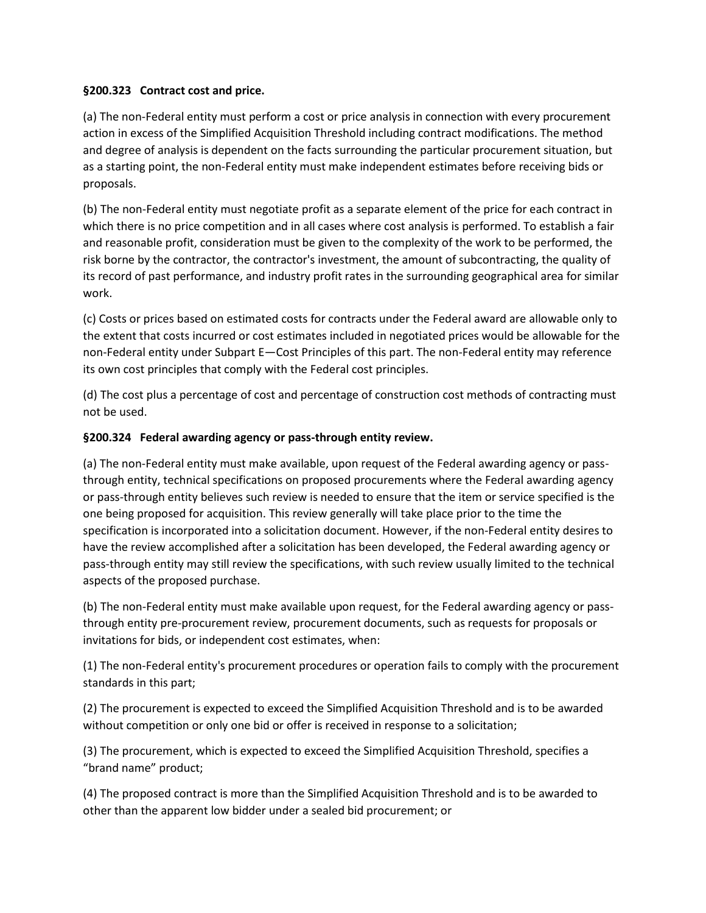#### **§200.323 Contract cost and price.**

(a) The non-Federal entity must perform a cost or price analysis in connection with every procurement action in excess of the Simplified Acquisition Threshold including contract modifications. The method and degree of analysis is dependent on the facts surrounding the particular procurement situation, but as a starting point, the non-Federal entity must make independent estimates before receiving bids or proposals.

(b) The non-Federal entity must negotiate profit as a separate element of the price for each contract in which there is no price competition and in all cases where cost analysis is performed. To establish a fair and reasonable profit, consideration must be given to the complexity of the work to be performed, the risk borne by the contractor, the contractor's investment, the amount of subcontracting, the quality of its record of past performance, and industry profit rates in the surrounding geographical area for similar work.

(c) Costs or prices based on estimated costs for contracts under the Federal award are allowable only to the extent that costs incurred or cost estimates included in negotiated prices would be allowable for the non-Federal entity under Subpart E—Cost Principles of this part. The non-Federal entity may reference its own cost principles that comply with the Federal cost principles.

(d) The cost plus a percentage of cost and percentage of construction cost methods of contracting must not be used.

#### **§200.324 Federal awarding agency or pass-through entity review.**

(a) The non-Federal entity must make available, upon request of the Federal awarding agency or passthrough entity, technical specifications on proposed procurements where the Federal awarding agency or pass-through entity believes such review is needed to ensure that the item or service specified is the one being proposed for acquisition. This review generally will take place prior to the time the specification is incorporated into a solicitation document. However, if the non-Federal entity desires to have the review accomplished after a solicitation has been developed, the Federal awarding agency or pass-through entity may still review the specifications, with such review usually limited to the technical aspects of the proposed purchase.

(b) The non-Federal entity must make available upon request, for the Federal awarding agency or passthrough entity pre-procurement review, procurement documents, such as requests for proposals or invitations for bids, or independent cost estimates, when:

(1) The non-Federal entity's procurement procedures or operation fails to comply with the procurement standards in this part;

(2) The procurement is expected to exceed the Simplified Acquisition Threshold and is to be awarded without competition or only one bid or offer is received in response to a solicitation;

(3) The procurement, which is expected to exceed the Simplified Acquisition Threshold, specifies a "brand name" product;

(4) The proposed contract is more than the Simplified Acquisition Threshold and is to be awarded to other than the apparent low bidder under a sealed bid procurement; or